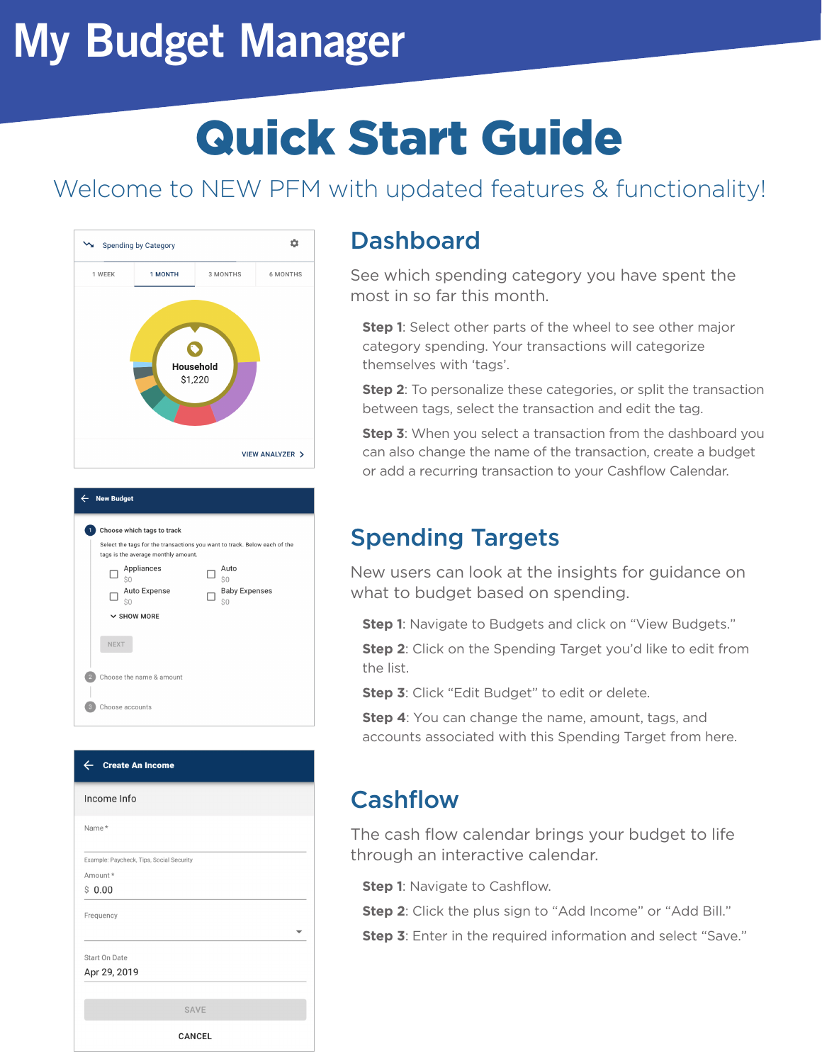# **My Budget Manager**

# Quick Start Guide

## Welcome to NEW PFM with updated features & functionality!



| <b>New Budget</b>                                                                                                |  |
|------------------------------------------------------------------------------------------------------------------|--|
| Choose which tags to track                                                                                       |  |
| Select the tags for the transactions you want to track. Below each of the<br>tags is the average monthly amount. |  |
| Appliances<br>Auto<br>\$0<br>\$0                                                                                 |  |
| <b>Baby Expenses</b><br>Auto Expense<br>$\overline{\phantom{a}}$<br>\$0<br>\$0                                   |  |
| $\times$ SHOW MORE                                                                                               |  |
| <b>NEXT</b>                                                                                                      |  |
| Choose the name & amount                                                                                         |  |
| Choose accounts                                                                                                  |  |

#### ← Create An Income

| Income Info                              |
|------------------------------------------|
| Name*                                    |
| Example: Paycheck, Tips, Social Security |
| Amount *                                 |
| \$0.00                                   |
| Frequency                                |
| Start On Date                            |
| Apr 29, 2019                             |
|                                          |
| <b>SAVE</b>                              |
| <b>CANCEL</b>                            |

### **Dashboard**

See which spending category you have spent the most in so far this month.

**Step 1**: Select other parts of the wheel to see other major category spending. Your transactions will categorize themselves with 'tags'.

**Step 2:** To personalize these categories, or split the transaction between tags, select the transaction and edit the tag.

**Step 3**: When you select a transaction from the dashboard you can also change the name of the transaction, create a budget or add a recurring transaction to your Cashflow Calendar.

### Spending Targets

New users can look at the insights for guidance on what to budget based on spending.

**Step 1**: Navigate to Budgets and click on "View Budgets."

**Step 2**: Click on the Spending Target you'd like to edit from the list.

**Step 3**: Click "Edit Budget" to edit or delete.

**Step 4**: You can change the name, amount, tags, and accounts associated with this Spending Target from here.

#### **Cashflow**

The cash flow calendar brings your budget to life through an interactive calendar.

**Step 1: Navigate to Cashflow.** 

**Step 2**: Click the plus sign to "Add Income" or "Add Bill."

**Step 3**: Enter in the required information and select "Save."